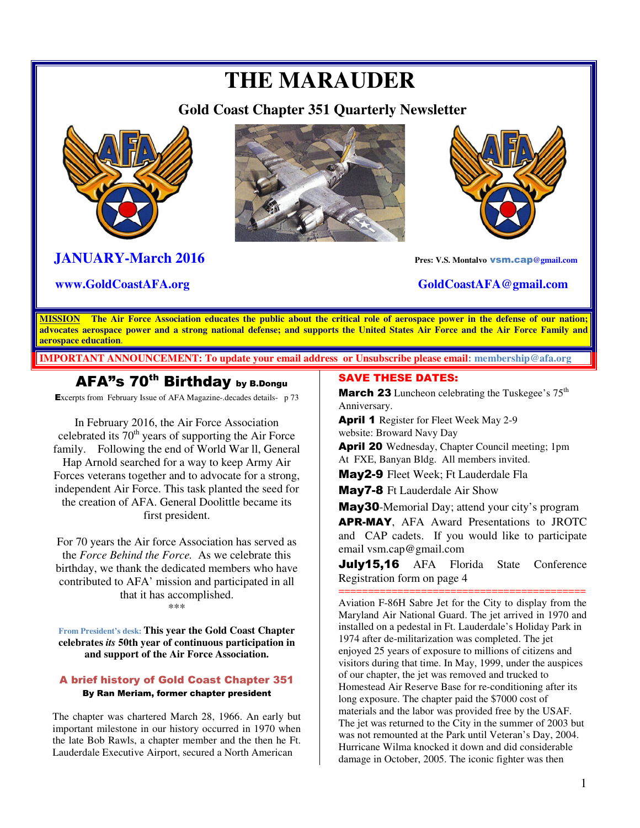# **THE MARAUDER**

 **Gold Coast Chapter 351 Quarterly Newsletter** 



### **JANUARY-March 2016 Pres: V.S. Montalvo** vsm.cap**@gmail.com**





**R www.GoldCoastAFA.org** GoldCoastAFA@gmail.com

**MISSION The Air Force Association educates the public about the critical role of aerospace power in the defense of our nation; advocates aerospace power and a strong national defense; and supports the United States Air Force and the Air Force Family and aerospace education**.

**IMPORTANT ANNOUNCEMENT: To update your email address or Unsubscribe please email: membership@afa.org**

### AFA"s 70<sup>th</sup> Birthday by B.Dongu

Excerpts from February Issue of AFA Magazine-.decades details- p 73

In February 2016, the Air Force Association celebrated its  $70<sup>th</sup>$  years of supporting the Air Force family. Following the end of World War ll, General Hap Arnold searched for a way to keep Army Air Forces veterans together and to advocate for a strong, independent Air Force. This task planted the seed for the creation of AFA. General Doolittle became its first president.

For 70 years the Air force Association has served as the *Force Behind the Force.* As we celebrate this birthday, we thank the dedicated members who have contributed to AFA' mission and participated in all that it has accomplished. \*\*\*

**From President's desk: This year the Gold Coast Chapter celebrates** *its* **50th year of continuous participation in and support of the Air Force Association.** 

#### A brief history of Gold Coast Chapter 351 By Ran Meriam, former chapter president

The chapter was chartered March 28, 1966. An early but important milestone in our history occurred in 1970 when the late Bob Rawls, a chapter member and the then he Ft. Lauderdale Executive Airport, secured a North American

#### SAVE THESE DATES:

**March 23** Luncheon celebrating the Tuskegee's  $75<sup>th</sup>$ Anniversary.

April 1 Register for Fleet Week May 2-9 website: Broward Navy Day

April 20 Wednesday, Chapter Council meeting; 1pm At FXE, Banyan Bldg. All members invited.

May2-9 Fleet Week; Ft Lauderdale Fla

May7-8 Ft Lauderdale Air Show

May30-Memorial Day; attend your city's program **APR-MAY**, AFA Award Presentations to JROTC and CAP cadets. If you would like to participate email vsm.cap@gmail.com

July15,16 AFA Florida State Conference Registration form on page 4

========================================== Aviation F-86H Sabre Jet for the City to display from the Maryland Air National Guard. The jet arrived in 1970 and installed on a pedestal in Ft. Lauderdale's Holiday Park in 1974 after de-militarization was completed. The jet enjoyed 25 years of exposure to millions of citizens and visitors during that time. In May, 1999, under the auspices of our chapter, the jet was removed and trucked to Homestead Air Reserve Base for re-conditioning after its long exposure. The chapter paid the \$7000 cost of materials and the labor was provided free by the USAF. The jet was returned to the City in the summer of 2003 but was not remounted at the Park until Veteran's Day, 2004. Hurricane Wilma knocked it down and did considerable damage in October, 2005. The iconic fighter was then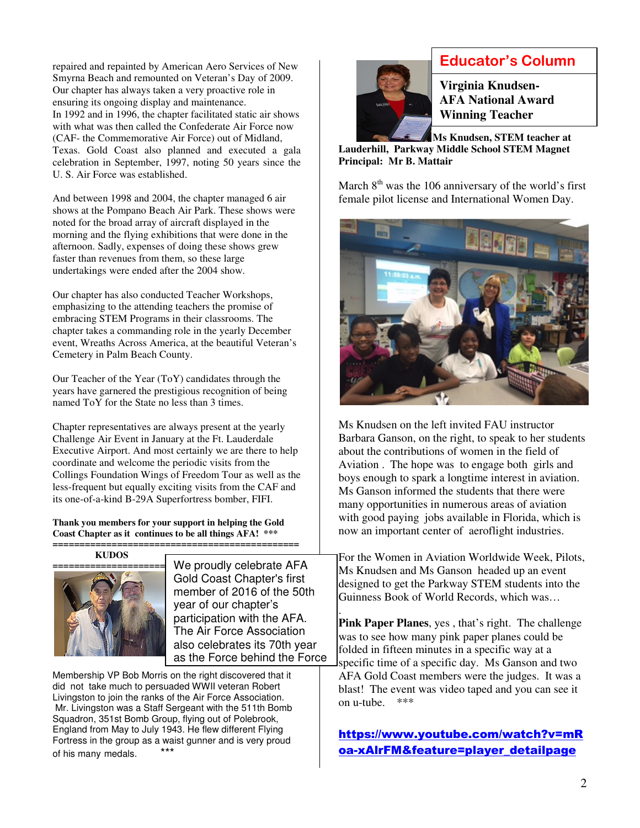repaired and repainted by American Aero Services of New Smyrna Beach and remounted on Veteran's Day of 2009. Our chapter has always taken a very proactive role in ensuring its ongoing display and maintenance. In 1992 and in 1996, the chapter facilitated static air shows with what was then called the Confederate Air Force now (CAF- the Commemorative Air Force) out of Midland, Texas. Gold Coast also planned and executed a gala celebration in September, 1997, noting 50 years since the U. S. Air Force was established.

And between 1998 and 2004, the chapter managed 6 air shows at the Pompano Beach Air Park. These shows were noted for the broad array of aircraft displayed in the morning and the flying exhibitions that were done in the afternoon. Sadly, expenses of doing these shows grew faster than revenues from them, so these large undertakings were ended after the 2004 show.

Our chapter has also conducted Teacher Workshops, emphasizing to the attending teachers the promise of embracing STEM Programs in their classrooms. The chapter takes a commanding role in the yearly December event, Wreaths Across America, at the beautiful Veteran's Cemetery in Palm Beach County.

Our Teacher of the Year (ToY) candidates through the years have garnered the prestigious recognition of being named ToY for the State no less than 3 times.

Chapter representatives are always present at the yearly Challenge Air Event in January at the Ft. Lauderdale Executive Airport. And most certainly we are there to help coordinate and welcome the periodic visits from the Collings Foundation Wings of Freedom Tour as well as the less-frequent but equally exciting visits from the CAF and its one-of-a-kind B-29A Superfortress bomber, FIFI.

**Thank you members for your support in helping the Gold Coast Chapter as it continues to be all things AFA! \*\*\*** 

#### **============================================== KUDOS**



as the Force behind the Force We proudly celebrate AFA Gold Coast Chapter's first member of 2016 of the 50th year of our chapter's participation with the AFA. The Air Force Association also celebrates its 70th year

Membership VP Bob Morris on the right discovered that it did not take much to persuaded WWII veteran Robert Livingston to join the ranks of the Air Force Association. Mr. Livingston was a Staff Sergeant with the 511th Bomb Squadron, 351st Bomb Group, flying out of Polebrook, England from May to July 1943. He flew different Flying Fortress in the group as a waist gunner and is very proud of his many medals. \*\*\*



### **Educator's Column**

**Virginia Knudsen-AFA National Award Winning Teacher** 

 **Ms Knudsen, STEM teacher at Lauderhill, Parkway Middle School STEM Magnet Principal: Mr B. Mattair**

March  $8<sup>th</sup>$  was the 106 anniversary of the world's first female pilot license and International Women Day.



Ms Knudsen on the left invited FAU instructor Barbara Ganson, on the right, to speak to her students about the contributions of women in the field of Aviation . The hope was to engage both girls and boys enough to spark a longtime interest in aviation. Ms Ganson informed the students that there were many opportunities in numerous areas of aviation with good paying jobs available in Florida, which is now an important center of aeroflight industries.

For the Women in Aviation Worldwide Week, Pilots, Ms Knudsen and Ms Ganson headed up an event designed to get the Parkway STEM students into the Guinness Book of World Records, which was…

. **Pink Paper Planes**, yes , that's right. The challenge was to see how many pink paper planes could be folded in fifteen minutes in a specific way at a specific time of a specific day. Ms Ganson and two AFA Gold Coast members were the judges. It was a blast! The event was video taped and you can see it on u-tube. \*\*\*

#### https://www.youtube.com/watch?v=mR oa-xAlrFM&feature=player\_detailpage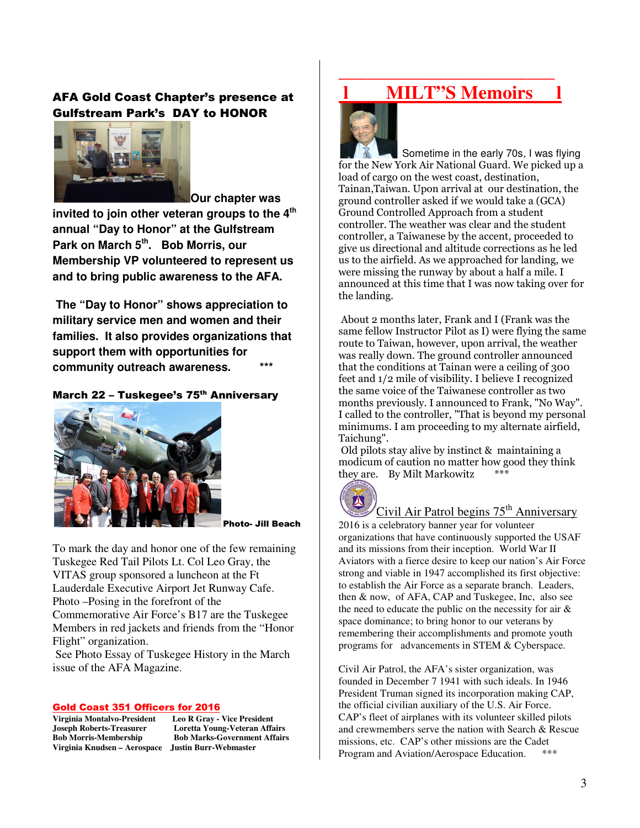#### AFA Gold Coast Chapter's presence at Gulfstream Park's DAY to HONOR



**Our chapter was** 

**invited to join other veteran groups to the 4th annual "Day to Honor" at the Gulfstream Park on March 5th. Bob Morris, our Membership VP volunteered to represent us and to bring public awareness to the AFA.** 

 **The "Day to Honor" shows appreciation to military service men and women and their families. It also provides organizations that support them with opportunities for**  community outreach awareness.

#### March 22 - Tuskegee's 75<sup>th</sup> Anniversary



Photo- Jill Beach

To mark the day and honor one of the few remaining Tuskegee Red Tail Pilots Lt. Col Leo Gray, the VITAS group sponsored a luncheon at the Ft Lauderdale Executive Airport Jet Runway Cafe. Photo –Posing in the forefront of the Commemorative Air Force's B17 are the Tuskegee Members in red jackets and friends from the "Honor Flight" organization.

 See Photo Essay of Tuskegee History in the March issue of the AFA Magazine.

# **Gold Coast 351 Officers for 2016**<br>Virginia Montalvo-President Leo R Grav - Vice President

**Virginia Montalvo-President**<br>**Joseph Roberts-Treasurer Virginia Knudsen – Aerospace Justin Burr-Webmaster** 

Loretta Young-Veteran Affairs **Bob Morris-Membership Bob Marks-Government Affairs** 

### **MILT"S Memoirs**

**\_\_\_\_\_\_\_\_\_\_\_\_\_\_\_\_\_\_\_\_\_\_\_** 



Sometime in the early 70s, I was flying for the New York Air National Guard. We picked up a load of cargo on the west coast, destination, Tainan,Taiwan. Upon arrival at our destination, the ground controller asked if we would take a (GCA) Ground Controlled Approach from a student controller. The weather was clear and the student controller, a Taiwanese by the accent, proceeded to give us directional and altitude corrections as he led us to the airfield. As we approached for landing, we were missing the runway by about a half a mile. I announced at this time that I was now taking over for the landing.

 About 2 months later, Frank and I (Frank was the same fellow Instructor Pilot as I) were flying the same route to Taiwan, however, upon arrival, the weather was really down. The ground controller announced that the conditions at Tainan were a ceiling of 300 feet and 1/2 mile of visibility. I believe I recognized the same voice of the Taiwanese controller as two months previously. I announced to Frank, "No Way". I called to the controller, "That is beyond my personal minimums. I am proceeding to my alternate airfield, Taichung".

 Old pilots stay alive by instinct & maintaining a modicum of caution no matter how good they think they are. By Milt Markowitz



### Civil Air Patrol begins  $75<sup>th</sup>$  Anniversary

2016 is a celebratory banner year for volunteer organizations that have continuously supported the USAF and its missions from their inception. World War II Aviators with a fierce desire to keep our nation's Air Force strong and viable in 1947 accomplished its first objective: to establish the Air Force as a separate branch. Leaders, then & now, of AFA, CAP and Tuskegee, Inc, also see the need to educate the public on the necessity for air  $\&$ space dominance; to bring honor to our veterans by remembering their accomplishments and promote youth programs for advancements in STEM & Cyberspace.

Civil Air Patrol, the AFA's sister organization, was founded in December 7 1941 with such ideals. In 1946 President Truman signed its incorporation making CAP, the official civilian auxiliary of the U.S. Air Force. CAP's fleet of airplanes with its volunteer skilled pilots and crewmembers serve the nation with Search & Rescue missions, etc. CAP's other missions are the Cadet Program and Aviation/Aerospace Education.